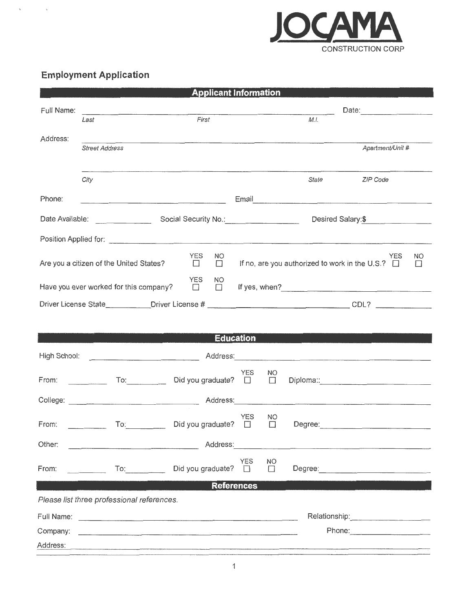

## **Employment Application**

 $\bar{\mathbf{v}}$ 

 $\mathcal{S}$ 

|                                                                                                                                              |                                                                                 | <b>Applicant Information</b>                                                                                         |                    |              |       |                                 |  |  |
|----------------------------------------------------------------------------------------------------------------------------------------------|---------------------------------------------------------------------------------|----------------------------------------------------------------------------------------------------------------------|--------------------|--------------|-------|---------------------------------|--|--|
| Full Name:                                                                                                                                   | the contract of the contract of the contract of the contract of the contract of |                                                                                                                      |                    | Date: 2004   |       |                                 |  |  |
|                                                                                                                                              | Last                                                                            | First                                                                                                                |                    |              | M.I.  |                                 |  |  |
| Address:                                                                                                                                     |                                                                                 |                                                                                                                      |                    |              |       |                                 |  |  |
|                                                                                                                                              | <b>Street Address</b>                                                           |                                                                                                                      |                    |              |       | Apartment/Unit #                |  |  |
|                                                                                                                                              | City                                                                            |                                                                                                                      |                    |              | State | ZIP Code                        |  |  |
| Phone:                                                                                                                                       |                                                                                 |                                                                                                                      |                    |              |       |                                 |  |  |
|                                                                                                                                              |                                                                                 |                                                                                                                      | Desired Salary: \$ |              |       |                                 |  |  |
|                                                                                                                                              |                                                                                 |                                                                                                                      |                    |              |       |                                 |  |  |
| <b>YES</b><br><b>YES</b><br>NO<br>If no, are you authorized to work in the U.S.? $\Box$<br>Are you a citizen of the United States?<br>$\Box$ |                                                                                 |                                                                                                                      |                    |              |       | NΟ<br>$\Box$                    |  |  |
|                                                                                                                                              | Have you ever worked for this company?                                          | <b>YES</b><br><b>NO</b><br>$\Box$                                                                                    |                    |              |       |                                 |  |  |
|                                                                                                                                              |                                                                                 |                                                                                                                      |                    |              |       |                                 |  |  |
|                                                                                                                                              |                                                                                 |                                                                                                                      | <b>Education</b>   |              |       |                                 |  |  |
|                                                                                                                                              |                                                                                 |                                                                                                                      |                    |              |       |                                 |  |  |
|                                                                                                                                              | From: To: To: Did you graduate? $\square$                                       |                                                                                                                      | YES                | NO.          |       |                                 |  |  |
|                                                                                                                                              |                                                                                 |                                                                                                                      |                    |              |       |                                 |  |  |
| From:                                                                                                                                        | $\overline{\text{To}}$                                                          | Did you graduate? $\Box$                                                                                             | <b>YES</b>         | NO.          |       |                                 |  |  |
| Other:                                                                                                                                       |                                                                                 |                                                                                                                      |                    |              |       |                                 |  |  |
| From:                                                                                                                                        | $\mathsf{To}$ :                                                                 | Did you graduate?                                                                                                    | <b>YES</b><br>H    | NO<br>$\Box$ |       |                                 |  |  |
|                                                                                                                                              |                                                                                 | <b>References</b>                                                                                                    |                    |              |       |                                 |  |  |
|                                                                                                                                              | Please list three professional references.                                      |                                                                                                                      |                    |              |       |                                 |  |  |
|                                                                                                                                              |                                                                                 |                                                                                                                      |                    |              |       |                                 |  |  |
| Company:                                                                                                                                     |                                                                                 |                                                                                                                      |                    |              |       | Phone: ________________________ |  |  |
| Address:                                                                                                                                     |                                                                                 | <u> 1980 - Maria Alemania, mpanda amerikan amerikan pertama di sebagai pertama di sebagai pertama di sebagai per</u> |                    |              |       |                                 |  |  |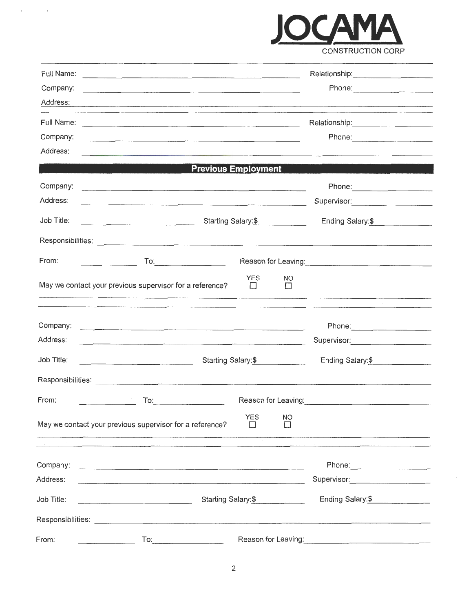

| Full Name: |                                                                                                                                                                                                                                                                                                                                                                 |                                                                                         |                      |                     | Relationship: 2000                                                                                                  |
|------------|-----------------------------------------------------------------------------------------------------------------------------------------------------------------------------------------------------------------------------------------------------------------------------------------------------------------------------------------------------------------|-----------------------------------------------------------------------------------------|----------------------|---------------------|---------------------------------------------------------------------------------------------------------------------|
| Company:   | <u>. 2000 a profile a contra componente composito de la contra de la contrada a contrada con a componente de la c</u>                                                                                                                                                                                                                                           |                                                                                         |                      |                     | Phone: _________________________                                                                                    |
| Address:   |                                                                                                                                                                                                                                                                                                                                                                 |                                                                                         |                      |                     | and the contract of the contract of the contract of the contract of the contract of the contract of the contract of |
|            |                                                                                                                                                                                                                                                                                                                                                                 |                                                                                         |                      |                     | Relationship: 2000                                                                                                  |
| Company:   |                                                                                                                                                                                                                                                                                                                                                                 |                                                                                         |                      |                     |                                                                                                                     |
| Address:   | <u> 1980 - Jacob Start, Amerikaansk politiker († 1900)</u>                                                                                                                                                                                                                                                                                                      |                                                                                         |                      |                     |                                                                                                                     |
|            |                                                                                                                                                                                                                                                                                                                                                                 | <b>Previous Employment</b>                                                              |                      |                     |                                                                                                                     |
| Company:   |                                                                                                                                                                                                                                                                                                                                                                 |                                                                                         |                      |                     |                                                                                                                     |
| Address:   | <u> 1980 - Johann M. John Stein, mars an Francisco (f. 1980)</u>                                                                                                                                                                                                                                                                                                |                                                                                         |                      |                     |                                                                                                                     |
| Job Title: |                                                                                                                                                                                                                                                                                                                                                                 | Starting Salary:\$                                                                      |                      |                     | Ending Salary:\$                                                                                                    |
|            |                                                                                                                                                                                                                                                                                                                                                                 |                                                                                         |                      |                     |                                                                                                                     |
| From:      | $\frac{1}{2} \sum_{i=1}^{n} \frac{1}{2} \sum_{j=1}^{n} \frac{1}{2} \sum_{j=1}^{n} \frac{1}{2} \sum_{j=1}^{n} \frac{1}{2} \sum_{j=1}^{n} \frac{1}{2} \sum_{j=1}^{n} \frac{1}{2} \sum_{j=1}^{n} \frac{1}{2} \sum_{j=1}^{n} \frac{1}{2} \sum_{j=1}^{n} \frac{1}{2} \sum_{j=1}^{n} \frac{1}{2} \sum_{j=1}^{n} \frac{1}{2} \sum_{j=1}^{n} \frac{1}{2} \sum_{j=1}^{n$ |                                                                                         |                      |                     |                                                                                                                     |
|            | May we contact your previous supervisor for a reference?                                                                                                                                                                                                                                                                                                        |                                                                                         | <b>YES</b><br>$\Box$ | NO<br>$\Box$        |                                                                                                                     |
| Company:   |                                                                                                                                                                                                                                                                                                                                                                 |                                                                                         |                      |                     | Phone: 2008 2010 2010 2010 2010 2010 2021 2022 2023 2024 2022 2023 2024 2022 2023 2024 2022 2023 2024 2025 20       |
| Address:   |                                                                                                                                                                                                                                                                                                                                                                 |                                                                                         |                      |                     | Supervisor: Supervisor:                                                                                             |
| Job Title: |                                                                                                                                                                                                                                                                                                                                                                 | <u> 1980 - Jan Samuel Barbara, margaret al II-lea (h. 1980).</u><br>Starting Salary: \$ |                      |                     | Ending Salary: \$                                                                                                   |
|            |                                                                                                                                                                                                                                                                                                                                                                 |                                                                                         |                      |                     |                                                                                                                     |
| From:      | To:                                                                                                                                                                                                                                                                                                                                                             |                                                                                         |                      | Reason for Leaving: |                                                                                                                     |
|            | May we contact your previous supervisor for a reference?                                                                                                                                                                                                                                                                                                        |                                                                                         | <b>YES</b><br>ΙI     | NO<br>П             |                                                                                                                     |
|            |                                                                                                                                                                                                                                                                                                                                                                 |                                                                                         |                      |                     |                                                                                                                     |
| Company:   | <u>. 1965 - James Berg, Santan Barat Barat Barat Barat Berg, Barat Berg, Barat Barat Barat Barat Barat Barat Berg</u>                                                                                                                                                                                                                                           |                                                                                         |                      |                     |                                                                                                                     |
| Address:   | the control of the control of the control of the control of the control of the control of the control of the control of the control of the control of the control of the control of the control of the control of the control                                                                                                                                   |                                                                                         |                      |                     |                                                                                                                     |
| Job Title: | Starting Salary:\$                                                                                                                                                                                                                                                                                                                                              |                                                                                         |                      | Ending Salary: \$   |                                                                                                                     |
|            |                                                                                                                                                                                                                                                                                                                                                                 |                                                                                         |                      |                     |                                                                                                                     |
|            |                                                                                                                                                                                                                                                                                                                                                                 |                                                                                         |                      |                     |                                                                                                                     |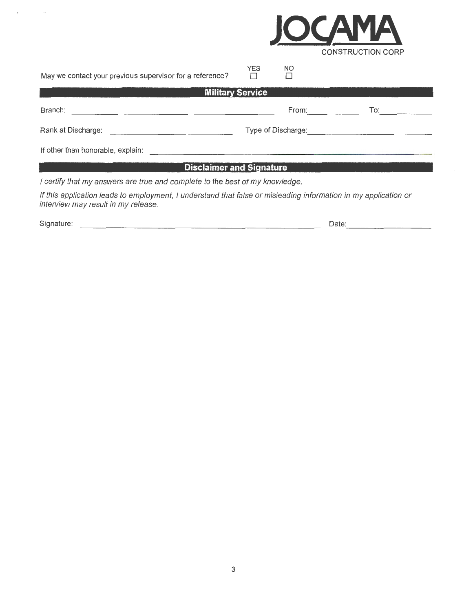

May we contact your previous supervisor for a reference?

| <b>Military Service</b>           |                    |     |  |  |  |
|-----------------------------------|--------------------|-----|--|--|--|
| Branch:                           | From:              | To: |  |  |  |
| Rank at Discharge:                | Type of Discharge: |     |  |  |  |
| If other than honorable, explain: |                    |     |  |  |  |

YES D

NO D

## **Disclaimer and Signature**

I certify that my answers are true and complete to the best of my knowledge.

If this application leads to employment, I understand that false or misleading information in my application or interview may result in my release.

Signature: Date:

- --- -----